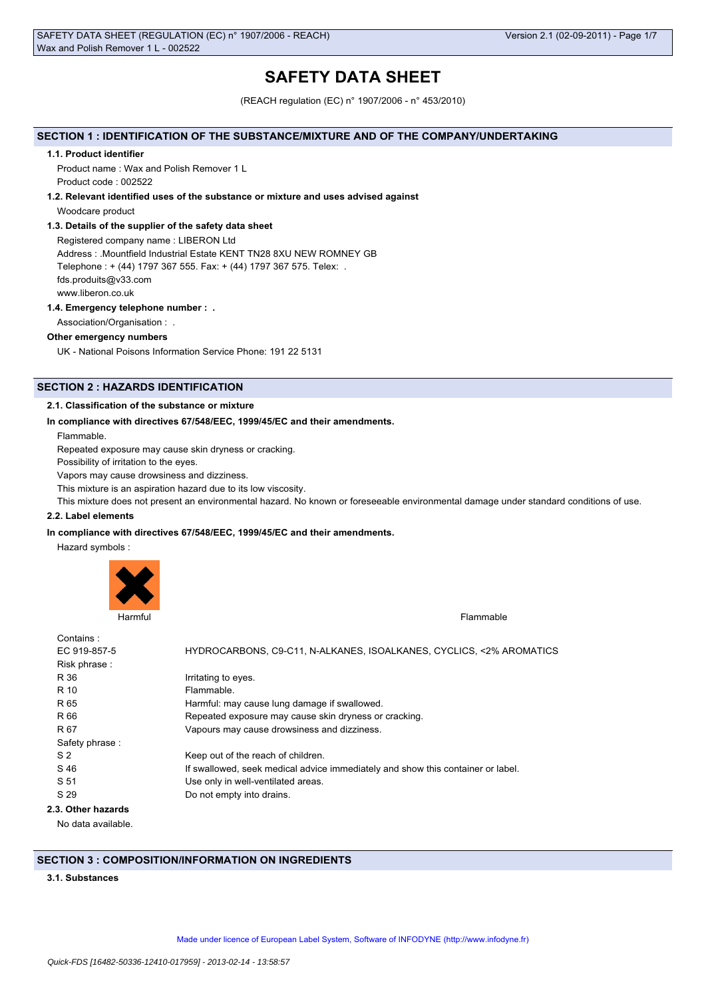# **SAFETY DATA SHEET**

(REACH regulation (EC) n° 1907/2006 - n° 453/2010)

# **SECTION 1 : IDENTIFICATION OF THE SUBSTANCE/MIXTURE AND OF THE COMPANY/UNDERTAKING**

#### **1.1. Product identifier**

Product name : Wax and Polish Remover 1 L Product code : 002522

### **1.2. Relevant identified uses of the substance or mixture and uses advised against**

Woodcare product

# **1.3. Details of the supplier of the safety data sheet**

Registered company name : LIBERON Ltd Address : .Mountfield Industrial Estate KENT TN28 8XU NEW ROMNEY GB Telephone : + (44) 1797 367 555. Fax: + (44) 1797 367 575. Telex: . fds.produits@v33.com www.liberon.co.uk

# **1.4. Emergency telephone number : .**

Association/Organisation : .

### **Other emergency numbers**

UK - National Poisons Information Service Phone: 191 22 5131

# **SECTION 2 : HAZARDS IDENTIFICATION**

# **2.1. Classification of the substance or mixture**

### **In compliance with directives 67/548/EEC, 1999/45/EC and their amendments.**

Flammable.

Repeated exposure may cause skin dryness or cracking.

Possibility of irritation to the eyes.

Vapors may cause drowsiness and dizziness.

This mixture is an aspiration hazard due to its low viscosity.

This mixture does not present an environmental hazard. No known or foreseeable environmental damage under standard conditions of use.

#### **2.2. Label elements**

### **In compliance with directives 67/548/EEC, 1999/45/EC and their amendments.**

Hazard symbols :



| Contains:          |                                                                                 |
|--------------------|---------------------------------------------------------------------------------|
| EC 919-857-5       | HYDROCARBONS, C9-C11, N-ALKANES, ISOALKANES, CYCLICS, <2% AROMATICS             |
| Risk phrase:       |                                                                                 |
| R 36               | Irritating to eyes.                                                             |
| R 10               | Flammable.                                                                      |
| R 65               | Harmful: may cause lung damage if swallowed.                                    |
| R 66               | Repeated exposure may cause skin dryness or cracking.                           |
| R 67               | Vapours may cause drowsiness and dizziness.                                     |
| Safety phrase:     |                                                                                 |
| S <sub>2</sub>     | Keep out of the reach of children.                                              |
| S 46               | If swallowed, seek medical advice immediately and show this container or label. |
| S 51               | Use only in well-ventilated areas.                                              |
| S 29               | Do not empty into drains.                                                       |
| 2.3. Other hazards |                                                                                 |
| No data available. |                                                                                 |

# **SECTION 3 : COMPOSITION/INFORMATION ON INGREDIENTS**

# **3.1. Substances**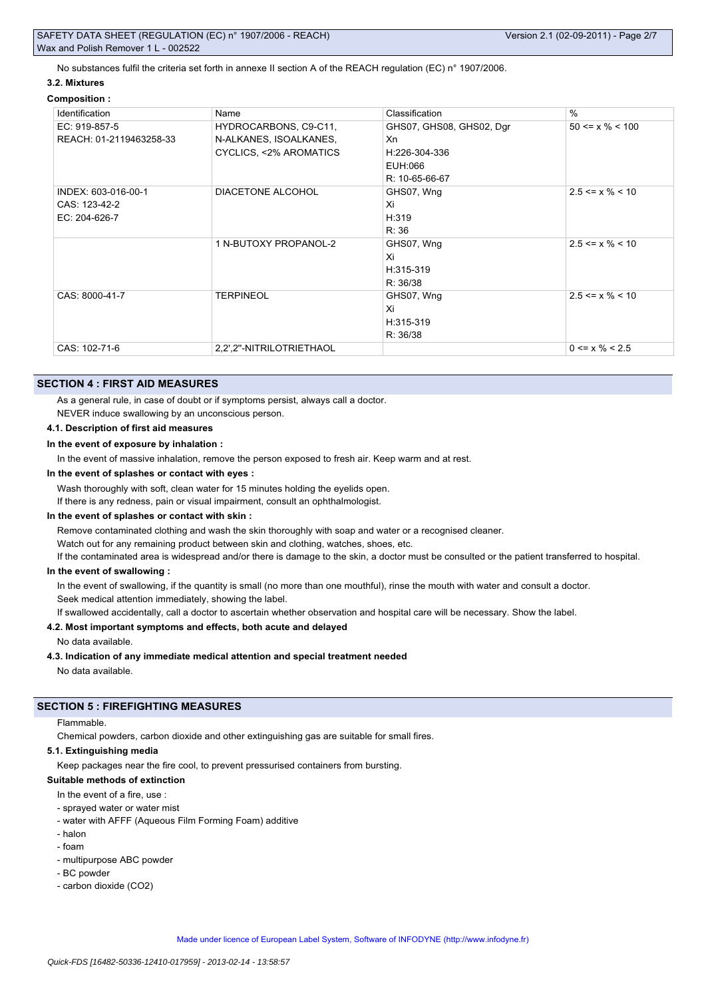No substances fulfil the criteria set forth in annexe II section A of the REACH regulation (EC) n° 1907/2006.

# **3.2. Mixtures**

# **Composition :**

| Identification          | Name                     | Classification           | $\frac{0}{0}$         |
|-------------------------|--------------------------|--------------------------|-----------------------|
| EC: 919-857-5           | HYDROCARBONS, C9-C11,    | GHS07, GHS08, GHS02, Dgr | $50 \le x \% \le 100$ |
| REACH: 01-2119463258-33 | N-ALKANES, ISOALKANES,   | Xn                       |                       |
|                         | CYCLICS, <2% AROMATICS   | H:226-304-336            |                       |
|                         |                          | EUH:066                  |                       |
|                         |                          | R: 10-65-66-67           |                       |
| INDEX: 603-016-00-1     | DIACETONE ALCOHOL        | GHS07, Wng               | $2.5 \le x \% \le 10$ |
| CAS: 123-42-2           |                          | Xi                       |                       |
| EC: 204-626-7           |                          | H:319                    |                       |
|                         |                          | R: 36                    |                       |
|                         | 1 N-BUTOXY PROPANOL-2    | GHS07, Wng               | $2.5 \le x \% \le 10$ |
|                         |                          | Xi                       |                       |
|                         |                          | H:315-319                |                       |
|                         |                          | R: 36/38                 |                       |
| CAS: 8000-41-7          | <b>TERPINEOL</b>         | GHS07, Wng               | $2.5 \le x \% \le 10$ |
|                         |                          | Xi                       |                       |
|                         |                          | H:315-319                |                       |
|                         |                          | R: 36/38                 |                       |
| CAS: 102-71-6           | 2,2",2"-NITRILOTRIETHAOL |                          | $0 \le x \% \le 2.5$  |

# **SECTION 4 : FIRST AID MEASURES**

As a general rule, in case of doubt or if symptoms persist, always call a doctor.

NEVER induce swallowing by an unconscious person.

# **4.1. Description of first aid measures**

**In the event of exposure by inhalation :**

In the event of massive inhalation, remove the person exposed to fresh air. Keep warm and at rest.

### **In the event of splashes or contact with eyes :**

Wash thoroughly with soft, clean water for 15 minutes holding the eyelids open.

If there is any redness, pain or visual impairment, consult an ophthalmologist.

### **In the event of splashes or contact with skin :**

Remove contaminated clothing and wash the skin thoroughly with soap and water or a recognised cleaner.

Watch out for any remaining product between skin and clothing, watches, shoes, etc.

If the contaminated area is widespread and/or there is damage to the skin, a doctor must be consulted or the patient transferred to hospital.

### **In the event of swallowing :**

In the event of swallowing, if the quantity is small (no more than one mouthful), rinse the mouth with water and consult a doctor. Seek medical attention immediately, showing the label.

If swallowed accidentally, call a doctor to ascertain whether observation and hospital care will be necessary. Show the label.

# **4.2. Most important symptoms and effects, both acute and delayed**

No data available.

# **4.3. Indication of any immediate medical attention and special treatment needed**

No data available.

# **SECTION 5 : FIREFIGHTING MEASURES**

# Flammable.

Chemical powders, carbon dioxide and other extinguishing gas are suitable for small fires.

# **5.1. Extinguishing media**

Keep packages near the fire cool, to prevent pressurised containers from bursting.

# **Suitable methods of extinction**

- In the event of a fire, use :
- sprayed water or water mist
- water with AFFF (Aqueous Film Forming Foam) additive
- halon
- foam
- multipurpose ABC powder
- BC powder
- carbon dioxide (CO2)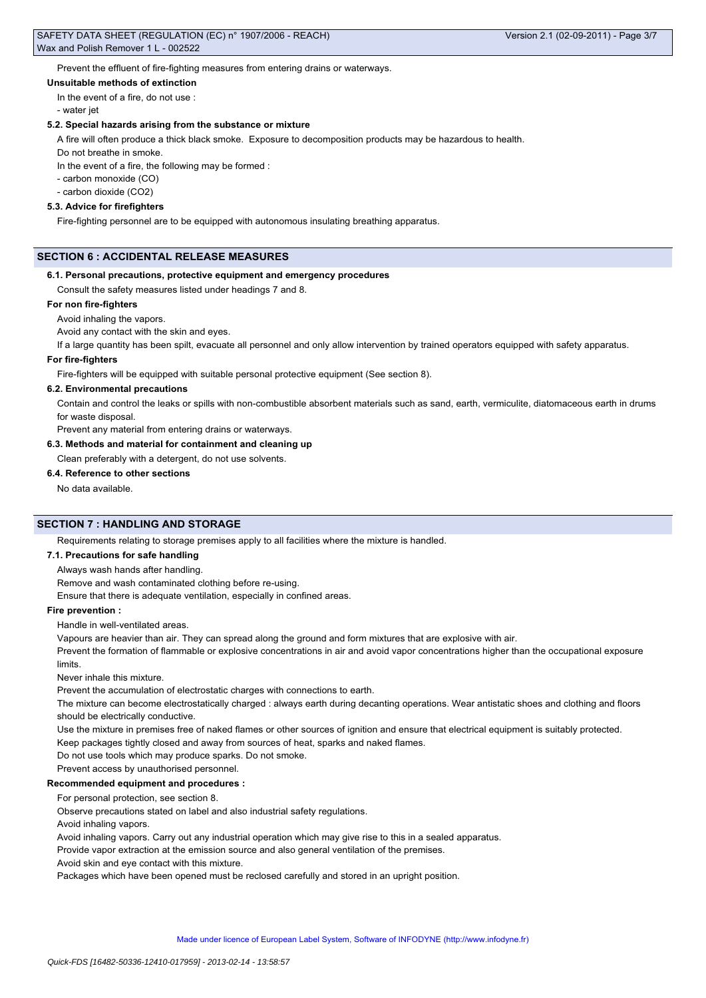Prevent the effluent of fire-fighting measures from entering drains or waterways.

### **Unsuitable methods of extinction**

In the event of a fire, do not use :

- water jet

#### **5.2. Special hazards arising from the substance or mixture**

A fire will often produce a thick black smoke. Exposure to decomposition products may be hazardous to health.

Do not breathe in smoke.

In the event of a fire, the following may be formed :

- carbon monoxide (CO)

- carbon dioxide (CO2)

### **5.3. Advice for firefighters**

Fire-fighting personnel are to be equipped with autonomous insulating breathing apparatus.

# **SECTION 6 : ACCIDENTAL RELEASE MEASURES**

#### **6.1. Personal precautions, protective equipment and emergency procedures**

Consult the safety measures listed under headings 7 and 8.

# **For non fire-fighters**

Avoid inhaling the vapors.

### Avoid any contact with the skin and eyes.

If a large quantity has been spilt, evacuate all personnel and only allow intervention by trained operators equipped with safety apparatus.

# **For fire-fighters**

Fire-fighters will be equipped with suitable personal protective equipment (See section 8).

### **6.2. Environmental precautions**

Contain and control the leaks or spills with non-combustible absorbent materials such as sand, earth, vermiculite, diatomaceous earth in drums for waste disposal.

Prevent any material from entering drains or waterways.

### **6.3. Methods and material for containment and cleaning up**

Clean preferably with a detergent, do not use solvents.

#### **6.4. Reference to other sections**

No data available.

# **SECTION 7 : HANDLING AND STORAGE**

Requirements relating to storage premises apply to all facilities where the mixture is handled.

# **7.1. Precautions for safe handling**

Always wash hands after handling.

Remove and wash contaminated clothing before re-using.

Ensure that there is adequate ventilation, especially in confined areas.

### **Fire prevention :**

Handle in well-ventilated areas.

Vapours are heavier than air. They can spread along the ground and form mixtures that are explosive with air.

Prevent the formation of flammable or explosive concentrations in air and avoid vapor concentrations higher than the occupational exposure limits.

Never inhale this mixture.

Prevent the accumulation of electrostatic charges with connections to earth.

The mixture can become electrostatically charged : always earth during decanting operations. Wear antistatic shoes and clothing and floors should be electrically conductive.

Use the mixture in premises free of naked flames or other sources of ignition and ensure that electrical equipment is suitably protected.

Keep packages tightly closed and away from sources of heat, sparks and naked flames.

Do not use tools which may produce sparks. Do not smoke.

Prevent access by unauthorised personnel.

# **Recommended equipment and procedures :**

For personal protection, see section 8.

Observe precautions stated on label and also industrial safety regulations.

Avoid inhaling vapors.

Avoid inhaling vapors. Carry out any industrial operation which may give rise to this in a sealed apparatus.

Provide vapor extraction at the emission source and also general ventilation of the premises.

Avoid skin and eye contact with this mixture.

Packages which have been opened must be reclosed carefully and stored in an upright position.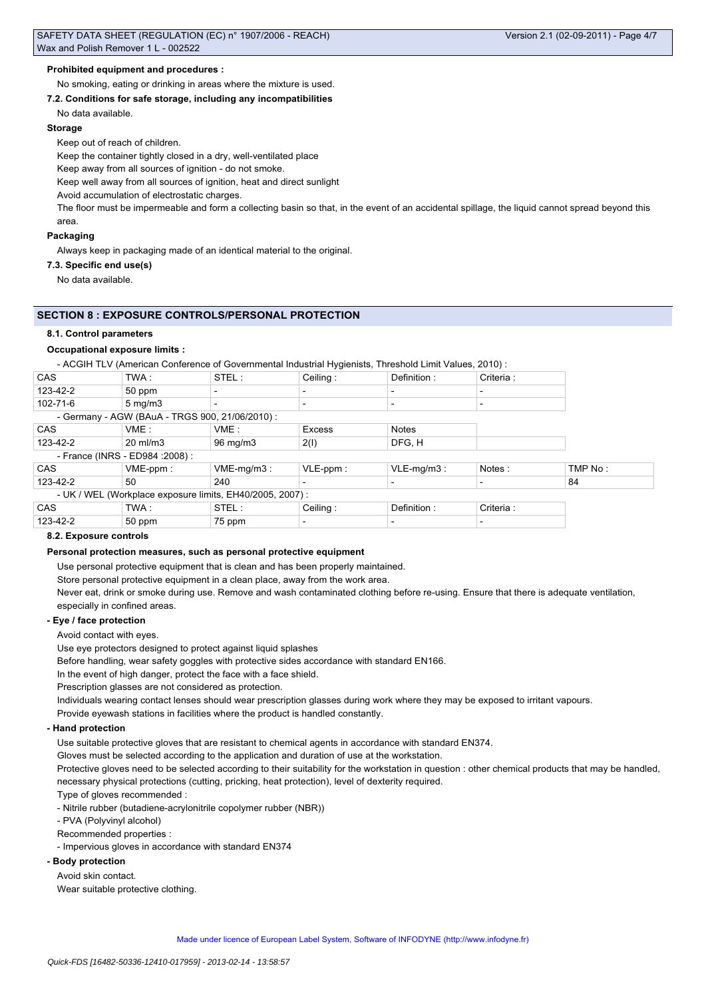# **Prohibited equipment and procedures :**

# No smoking, eating or drinking in areas where the mixture is used.

### **7.2. Conditions for safe storage, including any incompatibilities**

No data available.

### **Storage**

Keep out of reach of children.

Keep the container tightly closed in a dry, well-ventilated place

Keep away from all sources of ignition - do not smoke.

Keep well away from all sources of ignition, heat and direct sunlight

Avoid accumulation of electrostatic charges.

The floor must be impermeable and form a collecting basin so that, in the event of an accidental spillage, the liquid cannot spread beyond this area.

# **Packaging**

Always keep in packaging made of an identical material to the original.

**7.3. Specific end use(s)**

No data available.

# **SECTION 8 : EXPOSURE CONTROLS/PERSONAL PROTECTION**

### **8.1. Control parameters**

### **Occupational exposure limits :**

- ACGIH TLV (American Conference of Governmental Industrial Hygienists, Threshold Limit Values, 2010) :

| <b>CAS</b>                       | TWA:                                                      | STEL:             | Ceiling:                 | Definition:              | Criteria : |         |  |
|----------------------------------|-----------------------------------------------------------|-------------------|--------------------------|--------------------------|------------|---------|--|
| 123-42-2                         | 50 ppm                                                    |                   | $\overline{\phantom{0}}$ |                          |            |         |  |
| 102-71-6                         | $5 \,\mathrm{mg/m}$                                       |                   |                          |                          |            |         |  |
|                                  | - Germany - AGW (BAuA - TRGS 900, 21/06/2010) :           |                   |                          |                          |            |         |  |
| <b>CAS</b>                       | VME:                                                      | VME:              | <b>Excess</b>            | <b>Notes</b>             |            |         |  |
| 123-42-2                         | $20 \text{ ml/m}$ 3                                       | $96 \text{ mg/m}$ | 2(1)                     | DFG, H                   |            |         |  |
| - France (INRS - ED984 : 2008) : |                                                           |                   |                          |                          |            |         |  |
| <b>CAS</b>                       | $VME-ppm$ :                                               | $VME-mq/m3$ :     | $VLE-ppm$ :              | $VLE-mq/m3$ :            | Notes:     | TMP No: |  |
| 123-42-2                         | $50^{\circ}$                                              | 240               |                          |                          |            | 84      |  |
|                                  | - UK / WEL (Workplace exposure limits, EH40/2005, 2007) : |                   |                          |                          |            |         |  |
| <b>CAS</b>                       | TWA:                                                      | STEL:             | Ceiling:                 | Definition:              | Criteria : |         |  |
| 123-42-2                         | 50 ppm                                                    | 75 ppm            | $\overline{\phantom{0}}$ | $\overline{\phantom{0}}$ |            |         |  |

# **8.2. Exposure controls**

# **Personal protection measures, such as personal protective equipment**

Use personal protective equipment that is clean and has been properly maintained.

Store personal protective equipment in a clean place, away from the work area.

Never eat, drink or smoke during use. Remove and wash contaminated clothing before re-using. Ensure that there is adequate ventilation, especially in confined areas.

### **- Eye / face protection**

Avoid contact with eyes.

Use eye protectors designed to protect against liquid splashes

Before handling, wear safety goggles with protective sides accordance with standard EN166.

In the event of high danger, protect the face with a face shield.

Prescription glasses are not considered as protection.

Individuals wearing contact lenses should wear prescription glasses during work where they may be exposed to irritant vapours.

Provide eyewash stations in facilities where the product is handled constantly.

### **- Hand protection**

Use suitable protective gloves that are resistant to chemical agents in accordance with standard EN374.

Gloves must be selected according to the application and duration of use at the workstation.

Protective gloves need to be selected according to their suitability for the workstation in question : other chemical products that may be handled, necessary physical protections (cutting, pricking, heat protection), level of dexterity required.

Type of gloves recommended :

- Nitrile rubber (butadiene-acrylonitrile copolymer rubber (NBR))

- PVA (Polyvinyl alcohol)

Recommended properties :

- Impervious gloves in accordance with standard EN374

# **- Body protection**

Avoid skin contact.

Wear suitable protective clothing.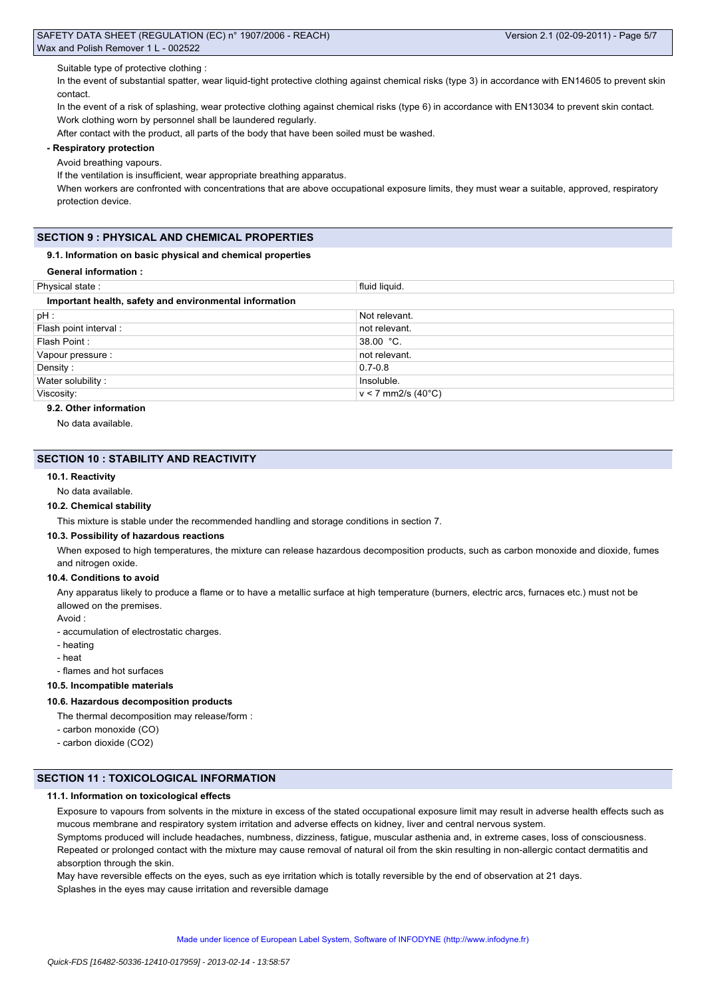Suitable type of protective clothing :

In the event of substantial spatter, wear liquid-tight protective clothing against chemical risks (type 3) in accordance with EN14605 to prevent skin contact.

In the event of a risk of splashing, wear protective clothing against chemical risks (type 6) in accordance with EN13034 to prevent skin contact. Work clothing worn by personnel shall be laundered regularly.

After contact with the product, all parts of the body that have been soiled must be washed.

# **- Respiratory protection**

Avoid breathing vapours.

If the ventilation is insufficient, wear appropriate breathing apparatus.

When workers are confronted with concentrations that are above occupational exposure limits, they must wear a suitable, approved, respiratory protection device.

# **SECTION 9 : PHYSICAL AND CHEMICAL PROPERTIES**

### **9.1. Information on basic physical and chemical properties**

**General information :**

| Physical state:                                        | fluid liquid.        |  |  |  |
|--------------------------------------------------------|----------------------|--|--|--|
| Important health, safety and environmental information |                      |  |  |  |
| pH :                                                   | Not relevant.        |  |  |  |
| Flash point interval :                                 | not relevant.        |  |  |  |
| Flash Point:                                           | 38.00 °C.            |  |  |  |
| Vapour pressure :                                      | not relevant.        |  |  |  |
| Density:                                               | $0.7 - 0.8$          |  |  |  |
| Water solubility:                                      | Insoluble.           |  |  |  |
| Viscosity:                                             | $v < 7$ mm2/s (40°C) |  |  |  |

# **9.2. Other information**

No data available.

# **SECTION 10 : STABILITY AND REACTIVITY**

### **10.1. Reactivity**

No data available.

#### **10.2. Chemical stability**

This mixture is stable under the recommended handling and storage conditions in section 7.

# **10.3. Possibility of hazardous reactions**

When exposed to high temperatures, the mixture can release hazardous decomposition products, such as carbon monoxide and dioxide, fumes and nitrogen oxide.

### **10.4. Conditions to avoid**

Any apparatus likely to produce a flame or to have a metallic surface at high temperature (burners, electric arcs, furnaces etc.) must not be allowed on the premises.

- Avoid :
- accumulation of electrostatic charges.
- heating
- heat

- flames and hot surfaces

# **10.5. Incompatible materials**

# **10.6. Hazardous decomposition products**

The thermal decomposition may release/form :

- carbon monoxide (CO)
- carbon dioxide (CO2)

# **SECTION 11 : TOXICOLOGICAL INFORMATION**

# **11.1. Information on toxicological effects**

Exposure to vapours from solvents in the mixture in excess of the stated occupational exposure limit may result in adverse health effects such as mucous membrane and respiratory system irritation and adverse effects on kidney, liver and central nervous system.

Symptoms produced will include headaches, numbness, dizziness, fatigue, muscular asthenia and, in extreme cases, loss of consciousness. Repeated or prolonged contact with the mixture may cause removal of natural oil from the skin resulting in non-allergic contact dermatitis and absorption through the skin.

May have reversible effects on the eyes, such as eye irritation which is totally reversible by the end of observation at 21 days. Splashes in the eyes may cause irritation and reversible damage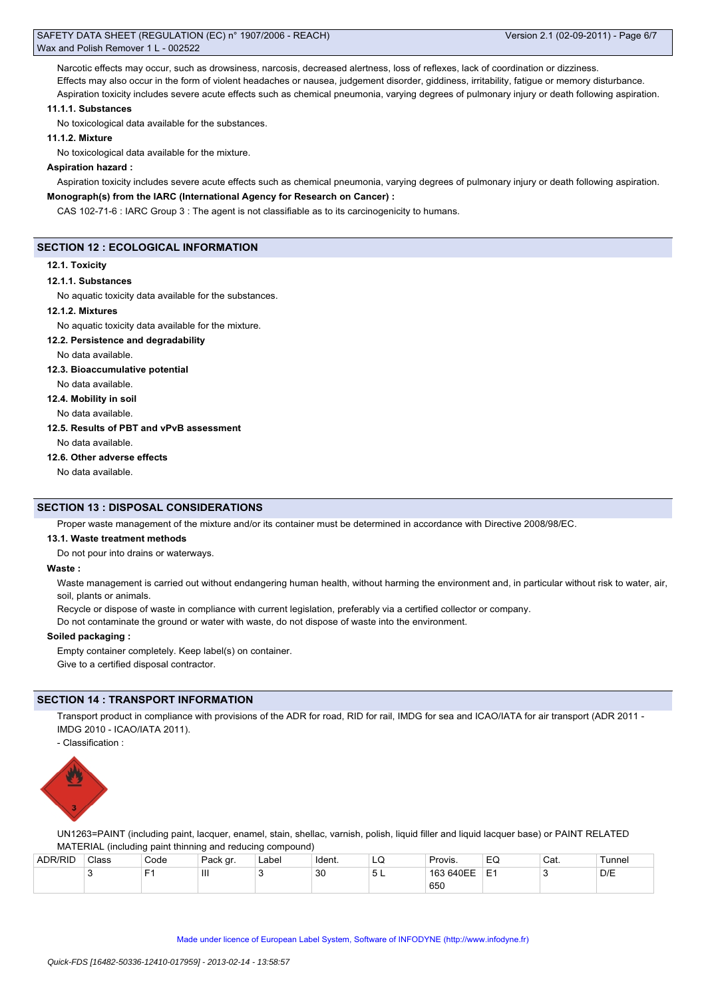Narcotic effects may occur, such as drowsiness, narcosis, decreased alertness, loss of reflexes, lack of coordination or dizziness. Effects may also occur in the form of violent headaches or nausea, judgement disorder, giddiness, irritability, fatigue or memory disturbance. Aspiration toxicity includes severe acute effects such as chemical pneumonia, varying degrees of pulmonary injury or death following aspiration.

### **11.1.1. Substances**

No toxicological data available for the substances.

# **11.1.2. Mixture**

No toxicological data available for the mixture.

### **Aspiration hazard :**

Aspiration toxicity includes severe acute effects such as chemical pneumonia, varying degrees of pulmonary injury or death following aspiration.

# **Monograph(s) from the IARC (International Agency for Research on Cancer) :**

CAS 102-71-6 : IARC Group 3 : The agent is not classifiable as to its carcinogenicity to humans.

# **SECTION 12 : ECOLOGICAL INFORMATION**

### **12.1. Toxicity**

### **12.1.1. Substances**

No aquatic toxicity data available for the substances.

### **12.1.2. Mixtures**

No aquatic toxicity data available for the mixture.

# **12.2. Persistence and degradability**

No data available.

# **12.3. Bioaccumulative potential**

No data available.

# **12.4. Mobility in soil**

No data available.

# **12.5. Results of PBT and vPvB assessment**

No data available.

# **12.6. Other adverse effects**

No data available.

# **SECTION 13 : DISPOSAL CONSIDERATIONS**

Proper waste management of the mixture and/or its container must be determined in accordance with Directive 2008/98/EC.

# **13.1. Waste treatment methods**

Do not pour into drains or waterways.

### **Waste :**

Waste management is carried out without endangering human health, without harming the environment and, in particular without risk to water, air, soil, plants or animals.

Recycle or dispose of waste in compliance with current legislation, preferably via a certified collector or company.

Do not contaminate the ground or water with waste, do not dispose of waste into the environment.

# **Soiled packaging :**

Empty container completely. Keep label(s) on container. Give to a certified disposal contractor.

# **SECTION 14 : TRANSPORT INFORMATION**

Transport product in compliance with provisions of the ADR for road, RID for rail, IMDG for sea and ICAO/IATA for air transport (ADR 2011 - IMDG 2010 - ICAO/IATA 2011).

- Classification :



UN1263=PAINT (including paint, lacquer, enamel, stain, shellac, varnish, polish, liquid filler and liquid lacquer base) or PAINT RELATED MATERIAL (including paint thinning and reducing compound)

| <b>ADR/RID</b> | Class | Code | Pack gr. | Label | ≒ldent. | ᅬ<br>$\sim$ | Provis.   | EQ            | Cat. | Tunnel |
|----------------|-------|------|----------|-------|---------|-------------|-----------|---------------|------|--------|
|                | ີ     | $-$  | Ш        |       | 30      | ◡∟          | 163 640EE | $-$<br>-<br>- | ÷.   | D/E    |
|                |       |      |          |       |         |             | 650       |               |      |        |